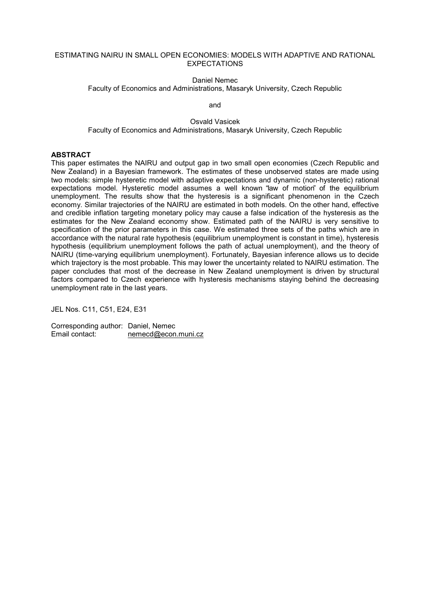#### ESTIMATING NAIRU IN SMALL OPEN ECONOMIES: MODELS WITH ADAPTIVE AND RATIONAL **EXPECTATIONS**

Daniel Nemec Faculty of Economics and Administrations, Masaryk University, Czech Republic

and

Osvald Vasicek Faculty of Economics and Administrations, Masaryk University, Czech Republic

## **ABSTRACT**

This paper estimates the NAIRU and output gap in two small open economies (Czech Republic and New Zealand) in a Bayesian framework. The estimates of these unobserved states are made using two models: simple hysteretic model with adaptive expectations and dynamic (non-hysteretic) rational expectations model. Hysteretic model assumes a well known "law of motion" of the equilibrium unemployment. The results show that the hysteresis is a significant phenomenon in the Czech economy. Similar trajectories of the NAIRU are estimated in both models. On the other hand, effective and credible inflation targeting monetary policy may cause a false indication of the hysteresis as the estimates for the New Zealand economy show. Estimated path of the NAIRU is very sensitive to specification of the prior parameters in this case. We estimated three sets of the paths which are in accordance with the natural rate hypothesis (equilibrium unemployment is constant in time), hysteresis hypothesis (equilibrium unemployment follows the path of actual unemployment), and the theory of NAIRU (time-varying equilibrium unemployment). Fortunately, Bayesian inference allows us to decide which trajectory is the most probable. This may lower the uncertainty related to NAIRU estimation. The paper concludes that most of the decrease in New Zealand unemployment is driven by structural factors compared to Czech experience with hysteresis mechanisms staying behind the decreasing unemployment rate in the last years.

JEL Nos. C11, C51, E24, E31

Corresponding author: Daniel, Nemec Email contact: nemecd@econ.muni.cz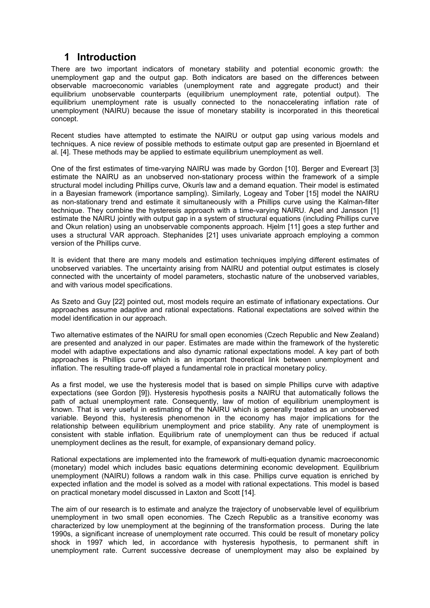## **1 Introduction**

There are two important indicators of monetary stability and potential economic growth: the unemployment gap and the output gap. Both indicators are based on the differences between observable macroeconomic variables (unemployment rate and aggregate product) and their equilibrium unobservable counterparts (equilibrium unemployment rate, potential output). The equilibrium unemployment rate is usually connected to the nonaccelerating inflation rate of unemployment (NAIRU) because the issue of monetary stability is incorporated in this theoretical concept.

Recent studies have attempted to estimate the NAIRU or output gap using various models and techniques. A nice review of possible methods to estimate output gap are presented in Bjoernland et al. [4]. These methods may be applied to estimate equilibrium unemployment as well.

One of the first estimates of time-varying NAIRU was made by Gordon [10]. Berger and Evereart [3] estimate the NAIRU as an unobserved non-stationary process within the framework of a simple structural model including Phillips curve, Okun's law and a demand equation. Their model is estimated in a Bayesian framework (importance sampling). Similarly, Logeay and Tober [15] model the NAIRU as non-stationary trend and estimate it simultaneously with a Phillips curve using the Kalman-filter technique. They combine the hysteresis approach with a time-varying NAIRU. Apel and Jansson [1] estimate the NAIRU jointly with output gap in a system of structural equations (including Phillips curve and Okun relation) using an unobservable components approach. Hjelm [11] goes a step further and uses a structural VAR approach. Stephanides [21] uses univariate approach employing a common version of the Phillips curve.

It is evident that there are many models and estimation techniques implying different estimates of unobserved variables. The uncertainty arising from NAIRU and potential output estimates is closely connected with the uncertainty of model parameters, stochastic nature of the unobserved variables, and with various model specifications.

As Szeto and Guy [22] pointed out, most models require an estimate of inflationary expectations. Our approaches assume adaptive and rational expectations. Rational expectations are solved within the model identification in our approach.

Two alternative estimates of the NAIRU for small open economies (Czech Republic and New Zealand) are presented and analyzed in our paper. Estimates are made within the framework of the hysteretic model with adaptive expectations and also dynamic rational expectations model. A key part of both approaches is Phillips curve which is an important theoretical link between unemployment and inflation. The resulting trade-off played a fundamental role in practical monetary policy.

As a first model, we use the hysteresis model that is based on simple Phillips curve with adaptive expectations (see Gordon [9]). Hysteresis hypothesis posits a NAIRU that automatically follows the path of actual unemployment rate. Consequently, law of motion of equilibrium unemployment is known. That is very useful in estimating of the NAIRU which is generally treated as an unobserved variable. Beyond this, hysteresis phenomenon in the economy has major implications for the relationship between equilibrium unemployment and price stability. Any rate of unemployment is consistent with stable inflation. Equilibrium rate of unemployment can thus be reduced if actual unemployment declines as the result, for example, of expansionary demand policy.

Rational expectations are implemented into the framework of multi-equation dynamic macroeconomic (monetary) model which includes basic equations determining economic development. Equilibrium unemployment (NAIRU) follows a random walk in this case. Phillips curve equation is enriched by expected inflation and the model is solved as a model with rational expectations. This model is based on practical monetary model discussed in Laxton and Scott [14].

The aim of our research is to estimate and analyze the trajectory of unobservable level of equilibrium unemployment in two small open economies. The Czech Republic as a transitive economy was characterized by low unemployment at the beginning of the transformation process. During the late 1990s, a significant increase of unemployment rate occurred. This could be result of monetary policy shock in 1997 which led, in accordance with hysteresis hypothesis, to permanent shift in unemployment rate. Current successive decrease of unemployment may also be explained by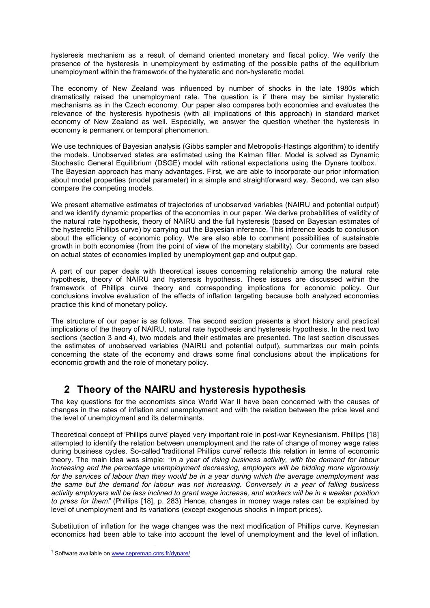hysteresis mechanism as a result of demand oriented monetary and fiscal policy. We verify the presence of the hysteresis in unemployment by estimating of the possible paths of the equilibrium unemployment within the framework of the hysteretic and non-hysteretic model.

The economy of New Zealand was influenced by number of shocks in the late 1980s which dramatically raised the unemployment rate. The question is if there may be similar hysteretic mechanisms as in the Czech economy. Our paper also compares both economies and evaluates the relevance of the hysteresis hypothesis (with all implications of this approach) in standard market economy of New Zealand as well. Especially, we answer the question whether the hysteresis in economy is permanent or temporal phenomenon.

We use techniques of Bayesian analysis (Gibbs sampler and Metropolis-Hastings algorithm) to identify the models. Unobserved states are estimated using the Kalman filter. Model is solved as Dynamic Stochastic General Equilibrium (DSGE) model with rational expectations using the Dynare toolbox.<sup>1</sup> The Bayesian approach has many advantages. First, we are able to incorporate our prior information about model properties (model parameter) in a simple and straightforward way. Second, we can also compare the competing models.

We present alternative estimates of trajectories of unobserved variables (NAIRU and potential output) and we identify dynamic properties of the economies in our paper. We derive probabilities of validity of the natural rate hypothesis, theory of NAIRU and the full hysteresis (based on Bayesian estimates of the hysteretic Phillips curve) by carrying out the Bayesian inference. This inference leads to conclusion about the efficiency of economic policy. We are also able to comment possibilities of sustainable growth in both economies (from the point of view of the monetary stability). Our comments are based on actual states of economies implied by unemployment gap and output gap.

A part of our paper deals with theoretical issues concerning relationship among the natural rate hypothesis, theory of NAIRU and hysteresis hypothesis. These issues are discussed within the framework of Phillips curve theory and corresponding implications for economic policy. Our conclusions involve evaluation of the effects of inflation targeting because both analyzed economies practice this kind of monetary policy.

The structure of our paper is as follows. The second section presents a short history and practical implications of the theory of NAIRU, natural rate hypothesis and hysteresis hypothesis. In the next two sections (section 3 and 4), two models and their estimates are presented. The last section discusses the estimates of unobserved variables (NAIRU and potential output), summarizes our main points concerning the state of the economy and draws some final conclusions about the implications for economic growth and the role of monetary policy.

# **2 Theory of the NAIRU and hysteresis hypothesis**

The key questions for the economists since World War II have been concerned with the causes of changes in the rates of inflation and unemployment and with the relation between the price level and the level of unemployment and its determinants.

Theoretical concept of "Phillips curve" played very important role in post-war Keynesianism. Phillips [18] attempted to identify the relation between unemployment and the rate of change of money wage rates during business cycles. So-called "traditional Phillips curve" reflects this relation in terms of economic theory. The main idea was simple: *"In a year of rising business activity, with the demand for labour increasing and the percentage unemployment decreasing, employers will be bidding more vigorously for the services of labour than they would be in a year during which the average unemployment was the same but the demand for labour was not increasing. Conversely in a year of falling business activity employers will be less inclined to grant wage increase, and workers will be in a weaker position to press for them.*" (Phillips [18], p. 283) Hence, changes in money wage rates can be explained by level of unemployment and its variations (except exogenous shocks in import prices).

Substitution of inflation for the wage changes was the next modification of Phillips curve. Keynesian economics had been able to take into account the level of unemployment and the level of inflation.

 $\overline{a}$ <sup>1</sup> Software available on www.cepremap.cnrs.fr/dynare/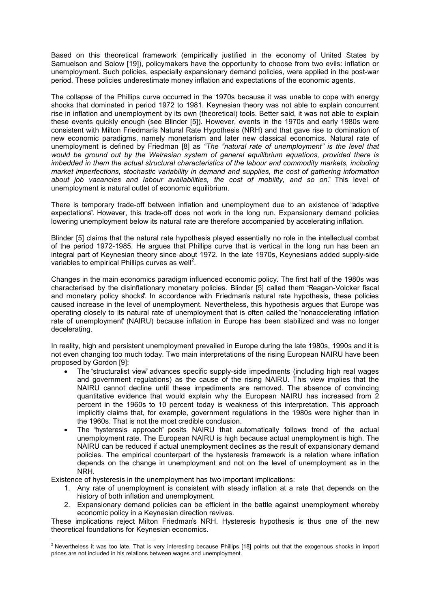Based on this theoretical framework (empirically justified in the economy of United States by Samuelson and Solow [19]), policymakers have the opportunity to choose from two evils: inflation or unemployment. Such policies, especially expansionary demand policies, were applied in the post-war period. These policies underestimate money inflation and expectations of the economic agents.

The collapse of the Phillips curve occurred in the 1970s because it was unable to cope with energy shocks that dominated in period 1972 to 1981. Keynesian theory was not able to explain concurrent rise in inflation and unemployment by its own (theoretical) tools. Better said, it was not able to explain these events quickly enough (see Blinder [5]). However, events in the 1970s and early 1980s were consistent with Milton Friedman's Natural Rate Hypothesis (NRH) and that gave rise to domination of new economic paradigms, namely monetarism and later new classical economics. Natural rate of unemployment is defined by Friedman [8] as *"The "natural rate of unemployment" is the level that would be ground out by the Walrasian system of general equilibrium equations, provided there is imbedded in them the actual structural characteristics of the labour and commodity markets, including market imperfections, stochastic variability in demand and supplies, the cost of gathering information about job vacancies and labour availabilities, the cost of mobility, and so on.*" This level of unemployment is natural outlet of economic equilibrium.

There is temporary trade-off between inflation and unemployment due to an existence of "adaptive expectations". However, this trade-off does not work in the long run. Expansionary demand policies lowering unemployment below its natural rate are therefore accompanied by accelerating inflation.

Blinder [5] claims that the natural rate hypothesis played essentially no role in the intellectual combat of the period 1972-1985. He argues that Phillips curve that is vertical in the long run has been an integral part of Keynesian theory since about 1972. In the late 1970s, Keynesians added supply-side variables to empirical Phillips curves as well<sup>2</sup>.

Changes in the main economics paradigm influenced economic policy. The first half of the 1980s was characterised by the disinflationary monetary policies. Blinder [5] called them "Reagan-Volcker fiscal and monetary policy shocks". In accordance with Friedman's natural rate hypothesis, these policies caused increase in the level of unemployment. Nevertheless, this hypothesis argues that Europe was operating closely to its natural rate of unemployment that is often called the "nonaccelerating inflation rate of unemployment" (NAIRU) because inflation in Europe has been stabilized and was no longer decelerating.

In reality, high and persistent unemployment prevailed in Europe during the late 1980s, 1990s and it is not even changing too much today. Two main interpretations of the rising European NAIRU have been proposed by Gordon [9]:

- The "structuralist view" advances specific supply-side impediments (including high real wages and government regulations) as the cause of the rising NAIRU. This view implies that the NAIRU cannot decline until these impediments are removed. The absence of convincing quantitative evidence that would explain why the European NAIRU has increased from 2 percent in the 1960s to 10 percent today is weakness of this interpretation. This approach implicitly claims that, for example, government regulations in the 1980s were higher than in the 1960s. That is not the most credible conclusion.
- The "hysteresis approach" posits NAIRU that automatically follows trend of the actual unemployment rate. The European NAIRU is high because actual unemployment is high. The NAIRU can be reduced if actual unemployment declines as the result of expansionary demand policies. The empirical counterpart of the hysteresis framework is a relation where inflation depends on the change in unemployment and not on the level of unemployment as in the NRH.

Existence of hysteresis in the unemployment has two important implications:

- 1. Any rate of unemployment is consistent with steady inflation at a rate that depends on the history of both inflation and unemployment.
- 2. Expansionary demand policies can be efficient in the battle against unemployment whereby economic policy in a Keynesian direction revives.

These implications reject Milton Friedman's NRH. Hysteresis hypothesis is thus one of the new theoretical foundations for Keynesian economics.

 2 Nevertheless it was too late. That is very interesting because Phillips [18] points out that the exogenous shocks in import prices are not included in his relations between wages and unemployment.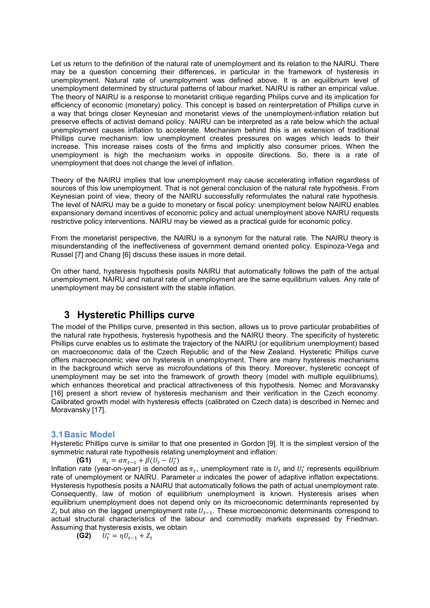Let us return to the definition of the natural rate of unemployment and its relation to the NAIRU. There may be a question concerning their differences, in particular in the framework of hysteresis in unemployment. Natural rate of unemployment was defined above. It is an equilibrium level of unemployment determined by structural patterns of labour market. NAIRU is rather an empirical value. The theory of NAIRU is a response to monetarist critique regarding Philips curve and its implication for efficiency of economic (monetary) policy. This concept is based on reinterpretation of Phillips curve in a way that brings closer Keynesian and monetarist views of the unemployment-inflation relation but preserve effects of activist demand policy. NAIRU can be interpreted as a rate below which the actual unemployment causes inflation to accelerate. Mechanism behind this is an extension of traditional Phillips curve mechanism: low unemployment creates pressures on wages which leads to their increase. This increase raises costs of the firms and implicitly also consumer prices. When the unemployment is high the mechanism works in opposite directions. So, there is a rate of unemployment that does not change the level of inflation.

Theory of the NAIRU implies that low unemployment may cause accelerating inflation regardless of sources of this low unemployment. That is not general conclusion of the natural rate hypothesis. From Keynesian point of view, theory of the NAIRU successfully reformulates the natural rate hypothesis. The level of NAIRU may be a guide to monetary or fiscal policy: unemployment below NAIRU enables expansionary demand incentives of economic policy and actual unemployment above NAIRU requests restrictive policy interventions. NAIRU may be viewed as a practical guide for economic policy.

From the monetarist perspective, the NAIRU is a synonym for the natural rate. The NAIRU theory is misunderstanding of the ineffectiveness of government demand oriented policy. Espinoza-Vega and Russel [7] and Chang [6] discuss these issues in more detail.

On other hand, hysteresis hypothesis posits NAIRU that automatically follows the path of the actual unemployment. NAIRU and natural rate of unemployment are the same equilibrium values. Any rate of unemployment may be consistent with the stable inflation.

## **3 Hysteretic Phillips curve**

The model of the Phillips curve, presented in this section, allows us to prove particular probabilities of the natural rate hypothesis, hysteresis hypothesis and the NAIRU theory. The specificity of hysteretic Phillips curve enables us to estimate the trajectory of the NAIRU (or equilibrium unemployment) based on macroeconomic data of the Czech Republic and of the New Zealand. Hysteretic Phillips curve offers macroeconomic view on hysteresis in unemployment. There are many hysteresis mechanisms in the background which serve as microfoundations of this theory. Moreover, hysteretic concept of unemployment may be set into the framework of growth theory (model with multiple equilibriums), which enhances theoretical and practical attractiveness of this hypothesis. Nemec and Moravansky [16] present a short review of hysteresis mechanism and their verification in the Czech economy. Calibrated growth model with hysteresis effects (calibrated on Czech data) is described in Nemec and Moravansky [17].

## **3.1 Basic Model**

Hysteretic Phillips curve is similar to that one presented in Gordon [9]. It is the simplest version of the symmetric natural rate hypothesis relating unemployment and inflation:

**(G1)** - $= \alpha \pi_{t-1} + \beta (U_t - U_t^*)$ Inflation rate (year-on-year) is denoted as  $\pi_t$ , unemployment rate is  $U_t$  and  $U_t^*$  represents equilibrium rate of unemployment or NAIRU. Parameter  $\alpha$  indicates the power of adaptive inflation expectations. Hysteresis hypothesis posits a NAIRU that automatically follows the path of actual unemployment rate. Consequently, law of motion of equilibrium unemployment is known. Hysteresis arises when equilibrium unemployment does not depend only on its microeconomic determinants represented by  $Z_t$  but also on the lagged unemployment rate  $U_{t-1}$ . These microeconomic determinants correspond to actual structural characteristics of the labour and commodity markets expressed by Friedman. Assuming that hysteresis exists, we obtain

$$
\textbf{(G2)}\qquad U_t^*=\eta U_{t-1}+Z_t
$$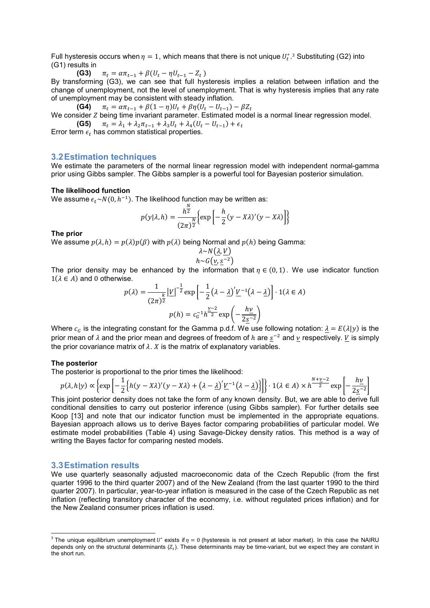Full hysteresis occurs when  $\eta = 1$ , which means that there is not unique  $U_t^*$ .<sup>3</sup> Substituting (G2) into (G1) results in

**(G3)** - $= \alpha \pi_{t-1} + \beta (U_t - \eta U_{t-1} - Z_t)$ 

 By transforming (G3), we can see that full hysteresis implies a relation between inflation and the change of unemployment, not the level of unemployment. That is why hysteresis implies that any rate of unemployment may be consistent with steady inflation.

**(G4)** -=  $\alpha \pi_{t-1} + \beta (1 - \eta) U_t + \beta \eta (U_t - U_{t-1}) - \beta Z_t$ 

We consider  $Z$  being time invariant parameter. Estimated model is a normal linear regression model. **(G5)**  $\pi_t = \lambda_1 + \lambda_2 \pi_{t-1} + \lambda_3 U_t + \lambda_4 (U_t - U_{t-1}) + \epsilon_t$ 

Error term  $\epsilon_t$  has common statistical properties.

## **3.2 Estimation techniques**

We estimate the parameters of the normal linear regression model with independent normal-gamma prior using Gibbs sampler. The Gibbs sampler is a powerful tool for Bayesian posterior simulation.

#### **The likelihood function**

We assume  $\epsilon_t{\sim}N(0,h^{-1}).$  The likelihood function may be written as:

$$
p(y|\lambda, h) = \frac{h^{\frac{N}{2}}}{(2\pi)^{\frac{N}{2}}} \Biggl\{ \exp \Biggl[ -\frac{h}{2} (y - X\lambda)'(y - X\lambda) \Biggr] \Biggr\}
$$

#### **The prior**

We assume  $p(\lambda, h) = p(\lambda)p(\beta)$  with  $p(\lambda)$  being Normal and  $p(h)$  being Gamma:

$$
\lambda \sim N(\underline{\lambda}, \underline{V})
$$

$$
h \sim G(\underline{v}, \underline{s}^{-2})
$$

The prior density may be enhanced by the information that  $n \in (0, 1)$ . We use indicator function  $1(\lambda \in A)$  and 0 otherwise.

$$
p(\lambda) = \frac{1}{(2\pi)^{\frac{k}{2}}} |\underline{V}|^{-\frac{1}{2}} \exp\left[-\frac{1}{2}(\lambda - \underline{\lambda})' \underline{V}^{-1}(\lambda - \underline{\lambda})\right] \cdot 1(\lambda \in A)
$$

$$
p(h) = c_0^{-1} h^{\frac{\nu - 2}{2}} \exp\left(-\frac{h\underline{V}}{2\underline{S}^{-2}}\right)
$$

Where  $c_c$  is the integrating constant for the Gamma p.d.f. We use following notation:  $\lambda = E(\lambda|y)$  is the prior mean of  $\lambda$  and the prior mean and degrees of freedom of  $h$  are  $\underline{s}^{-2}$  and  $\underline{v}$  respectively.  $\underline{V}$  is simply the prior covariance matrix of  $\lambda$ . X is the matrix of explanatory variables.

#### **The posterior**

The posterior is proportional to the prior times the likelihood:

$$
p(\lambda, h|y) \propto \left\{ \exp\left[ -\frac{1}{2} \left\{ h(y - X\lambda)'(y - X\lambda) + \left(\lambda - \underline{\lambda}\right)' \underline{V}^{-1}(\lambda - \underline{\lambda}) \right\} \right] \right\} \cdot 1(\lambda \in A) \times h^{\frac{N + \underline{\nu} - 2}{2}} \exp\left[ -\frac{h\underline{v}}{2\underline{s}^{-2}} \right]
$$

This joint posterior density does not take the form of any known density. But, we are able to derive full conditional densities to carry out posterior inference (using Gibbs sampler). For further details see Koop [13] and note that our indicator function must be implemented in the appropriate equations. Bayesian approach allows us to derive Bayes factor comparing probabilities of particular model. We estimate model probabilities (Table 4) using Savage-Dickey density ratios. This method is a way of writing the Bayes factor for comparing nested models.

### **3.3 Estimation results**

We use quarterly seasonally adjusted macroeconomic data of the Czech Republic (from the first quarter 1996 to the third quarter 2007) and of the New Zealand (from the last quarter 1990 to the third quarter 2007). In particular, year-to-year inflation is measured in the case of the Czech Republic as net inflation (reflecting transitory character of the economy, i.e. without regulated prices inflation) and for the New Zealand consumer prices inflation is used.

<sup>-</sup><sup>3</sup> The unique equilibrium unemployment U<sup>\*</sup> exists if  $\eta = 0$  (hysteresis is not present at labor market). In this case the NAIRU depends only on the structural determinants ( $Z_t$ ). These determinants may be time-variant, but we expect they are constant in the short run.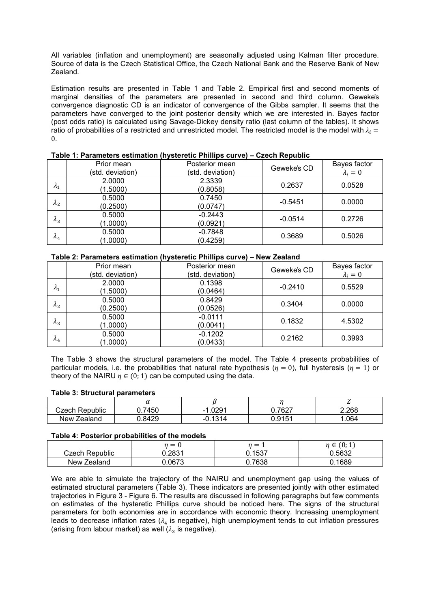All variables (inflation and unemployment) are seasonally adjusted using Kalman filter procedure. Source of data is the Czech Statistical Office, the Czech National Bank and the Reserve Bank of New Zealand.

Estimation results are presented in Table 1 and Table 2. Empirical first and second moments of marginal densities of the parameters are presented in second and third column. Geweke's convergence diagnostic CD is an indicator of convergence of the Gibbs sampler. It seems that the parameters have converged to the joint posterior density which we are interested in. Bayes factor (post odds ratio) is calculated using Savage-Dickey density ratio (last column of the tables). It shows ratio of probabilities of a restricted and unrestricted model. The restricted model is the model with  $\lambda_i =$ 0.

|                 | Prior mean<br>(std. deviation) | Posterior mean<br>(std. deviation) | Geweke's CD | Bayes factor<br>$\lambda_i=0$ |
|-----------------|--------------------------------|------------------------------------|-------------|-------------------------------|
| $\lambda_1$     | 2.0000<br>(1.5000)             | 2.3339<br>(0.8058)                 | 0.2637      | 0.0528                        |
| $\lambda_2$     | 0.5000<br>(0.2500)             | 0.7450<br>(0.0747)                 | $-0.5451$   | 0.0000                        |
| $\lambda_3$     | 0.5000<br>(1.0000)             | $-0.2443$<br>(0.0921)              | $-0.0514$   | 0.2726                        |
| $\mathcal{A}_4$ | 0.5000<br>(1.0000)             | $-0.7848$<br>(0.4259)              | 0.3689      | 0.5026                        |

## **Table 1: Parameters estimation (hysteretic Phillips curve) – Czech Republic**

#### **Table 2: Parameters estimation (hysteretic Phillips curve) – New Zealand**

|             |                                | . .                                |             |                               |
|-------------|--------------------------------|------------------------------------|-------------|-------------------------------|
|             | Prior mean<br>(std. deviation) | Posterior mean<br>(std. deviation) | Geweke's CD | Bayes factor<br>$\lambda_i=0$ |
| $\lambda_1$ | 2.0000<br>(1.5000)             | 0.1398<br>(0.0464)                 | $-0.2410$   | 0.5529                        |
| $\lambda_2$ | 0.5000<br>(0.2500)             | 0.8429<br>(0.0526)                 | 0.3404      | 0.0000                        |
| $\lambda_3$ | 0.5000<br>(1.0000)             | $-0.0111$<br>(0.0041)              | 0.1832      | 4.5302                        |
| $\lambda_4$ | 0.5000<br>(1.0000)             | $-0.1202$<br>(0.0433)              | 0.2162      | 0.3993                        |

The Table 3 shows the structural parameters of the model. The Table 4 presents probabilities of particular models, i.e. the probabilities that natural rate hypothesis ( $\eta = 0$ ), full hysteresis ( $\eta = 1$ ) or theory of the NAIRU  $\eta \in (0, 1)$  can be computed using the data.

### **Table 3: Structural parameters**

|                   | u          |                 |             |       |
|-------------------|------------|-----------------|-------------|-------|
| Republic<br>∠zech | .7450<br>⌒ | .0291<br>$\sim$ | 7627<br>UZ. | 2.268 |
| New<br>ealand:    | .8429      | 1314            | 0151<br>ט ו | 064   |

### **Table 4: Posterior probabilities of the models**

|                  | $\mathbf{v}$ |        | $\Omega$<br>- 4 -<br>$\boldsymbol{\eta}$<br>υ. τ<br>∽ |
|------------------|--------------|--------|-------------------------------------------------------|
| Czech Republic   | 0.2831       | 0.1537 | 0.5632                                                |
| New Z<br>Zealand | 0.0673       | .7638  | 0.1689                                                |

We are able to simulate the trajectory of the NAIRU and unemployment gap using the values of estimated structural parameters (Table 3). These indicators are presented jointly with other estimated trajectories in Figure 3 - Figure 6. The results are discussed in following paragraphs but few comments on estimates of the hysteretic Phillips curve should be noticed here. The signs of the structural parameters for both economies are in accordance with economic theory. Increasing unemployment leads to decrease inflation rates ( $\lambda_4$  is negative), high unemployment tends to cut inflation pressures (arising from labour market) as well ( $\lambda_3$  is negative).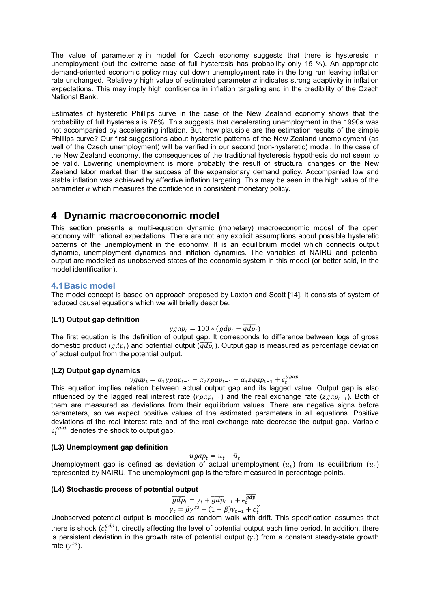The value of parameter  $\eta$  in model for Czech economy suggests that there is hysteresis in unemployment (but the extreme case of full hysteresis has probability only 15 %). An appropriate demand-oriented economic policy may cut down unemployment rate in the long run leaving inflation rate unchanged. Relatively high value of estimated parameter  $\alpha$  indicates strong adaptivity in inflation expectations. This may imply high confidence in inflation targeting and in the credibility of the Czech National Bank.

Estimates of hysteretic Phillips curve in the case of the New Zealand economy shows that the probability of full hysteresis is 76%. This suggests that decelerating unemployment in the 1990s was not accompanied by accelerating inflation. But, how plausible are the estimation results of the simple Phillips curve? Our first suggestions about hysteretic patterns of the New Zealand unemployment (as well of the Czech unemployment) will be verified in our second (non-hysteretic) model. In the case of the New Zealand economy, the consequences of the traditional hysteresis hypothesis do not seem to be valid. Lowering unemployment is more probably the result of structural changes on the New Zealand labor market than the success of the expansionary demand policy. Accompanied low and stable inflation was achieved by effective inflation targeting. This may be seen in the high value of the parameter  $\alpha$  which measures the confidence in consistent monetary policy.

## **4 Dynamic macroeconomic model**

This section presents a multi-equation dynamic (monetary) macroeconomic model of the open economy with rational expectations. There are not any explicit assumptions about possible hysteretic patterns of the unemployment in the economy. It is an equilibrium model which connects output dynamic, unemployment dynamics and inflation dynamics. The variables of NAIRU and potential output are modelled as unobserved states of the economic system in this model (or better said, in the model identification).

## **4.1 Basic model**

The model concept is based on approach proposed by Laxton and Scott [14]. It consists of system of reduced causal equations which we will briefly describe.

## **(L1) Output gap definition**

$$
ygap_t = 100 * (gdp_t - \overline{gdp_t})
$$

The first equation is the definition of output gap. It corresponds to difference between logs of gross domestic product ( $gdp_t$ ) and potential output ( $\overline{gdp_t}$ ). Output gap is measured as percentage deviation of actual output from the potential output.

## **(L2) Output gap dynamics**

 $ygap_t = \alpha_1 ygap_{t-1} - \alpha_2 rgap_{t-1} - \alpha_3 zgap_{t-1} + \epsilon_t^{ygap}$ 

 This equation implies relation between actual output gap and its lagged value. Output gap is also influenced by the lagged real interest rate  $(rgap_{t-1})$  and the real exchange rate  $(zgap_{t-1})$ . Both of them are measured as deviations from their equilibrium values. There are negative signs before parameters, so we expect positive values of the estimated parameters in all equations. Positive deviations of the real interest rate and of the real exchange rate decrease the output gap. Variable  $\epsilon_t^{ygap}$  denotes the shock to output gap.

## **(L3) Unemployment gap definition**

$$
ugap_t = u_t - \bar{u}_t
$$

 $ugap_t = u_t - \overline{u}_t$ <br>Unemployment gap is defined as deviation of actual unemployment  $(u_t)$  from its equilibrium  $(\overline{u}_t)$ represented by NAIRU. The unemployment gap is therefore measured in percentage points.

## **(L4) Stochastic process of potential output**

$$
\overline{gdp}_t = \gamma_t + \overline{gdp}_{t-1} + \epsilon_t^{\overline{gdp}} \n\gamma_t = \beta \gamma^{ss} + (1 - \beta)\gamma_{t-1} + \epsilon_t^{\gamma}
$$

 $\gamma_t = \beta \gamma^{ss} + (1 - \beta) \gamma_{t-1} + \epsilon_t^{\gamma}$ <br>Unobserved potential output is modelled as random walk with drift. This specification assumes that there is shock ( $\epsilon_t^{\overline{gdp}}$ ), directly affecting the level of potential output each time period. In addition, there is persistent deviation in the growth rate of potential output  $(\gamma_t)$  from a constant steady-state growth rate  $(\gamma^{ss})$ .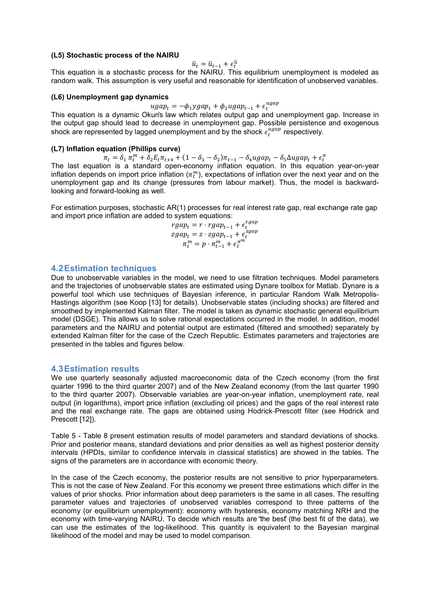### **(L5) Stochastic process of the NAIRU**

 $\bar{u}_t = \bar{u}_{t-1} + \epsilon_t^{\bar{u}}$ 

 This equation is a stochastic process for the NAIRU. This equilibrium unemployment is modeled as random walk. This assumption is very useful and reasonable for identification of unobserved variables.

#### **(L6) Unemployment gap dynamics**

 $ugap_t = -\phi_1 ygap_t + \phi_2 ugap_{t-1} + \epsilon_t^{ugap}$ 

 This equation is a dynamic Okun's law which relates output gap and unemployment gap. Increase in the output gap should lead to decrease in unemployment gap. Possible persistence and exogenous shock are represented by lagged unemployment and by the shock  $\epsilon_t^{ugap}$  respectively.

### **(L7) Inflation equation (Phillips curve)**

 $\pi_t = \delta_1 \pi_t^m + \delta_2 E_t \pi_{t+4} + (1 - \delta_1 - \delta_2) \pi_{t-1} - \delta_4 u g a p_t - \delta_5 \Delta u g a p_t + \epsilon_t^{\pi}$ 

The last equation is a standard open-economy inflation equation. In this equation year-on-year inflation depends on import price inflation  $(\pi_t^m)$ , expectations of inflation over the next year and on the unemployment gap and its change (pressures from labour market). Thus, the model is backwardlooking and forward-looking as well.

For estimation purposes, stochastic AR(1) processes for real interest rate gap, real exchange rate gap and import price inflation are added to system equations:

$$
rgap_t = r \cdot rgap_{t-1} + \epsilon_t^{rgap}
$$
  

$$
zgap_t = z \cdot zgap_{t-1} + \epsilon_t^{zgap}
$$
  

$$
\pi_t^m = p \cdot \pi_{t-1}^m + \epsilon_t^{\pi^m}
$$

### **4.2 Estimation techniques**

Due to unobservable variables in the model, we need to use filtration techniques. Model parameters and the trajectories of unobservable states are estimated using Dynare toolbox for Matlab. Dynare is a powerful tool which use techniques of Bayesian inference, in particular Random Walk Metropolis-Hastings algorithm (see Koop [13] for details). Unobservable states (including shocks) are filtered and smoothed by implemented Kalman filter. The model is taken as dynamic stochastic general equilibrium model (DSGE). This allows us to solve rational expectations occurred in the model. In addition, model parameters and the NAIRU and potential output are estimated (filtered and smoothed) separately by extended Kalman filter for the case of the Czech Republic. Estimates parameters and trajectories are presented in the tables and figures below.

### **4.3 Estimation results**

We use quarterly seasonally adjusted macroeconomic data of the Czech economy (from the first quarter 1996 to the third quarter 2007) and of the New Zealand economy (from the last quarter 1990 to the third quarter 2007). Observable variables are year-on-year inflation, unemployment rate, real output (in logarithms), import price inflation (excluding oil prices) and the gaps of the real interest rate and the real exchange rate. The gaps are obtained using Hodrick-Prescott filter (see Hodrick and Prescott [12]).

Table 5 - Table 8 present estimation results of model parameters and standard deviations of shocks. Prior and posterior means, standard deviations and prior densities as well as highest posterior density intervals (HPDIs, similar to confidence intervals in classical statistics) are showed in the tables. The signs of the parameters are in accordance with economic theory.

In the case of the Czech economy, the posterior results are not sensitive to prior hyperparameters. This is not the case of New Zealand. For this economy we present three estimations which differ in the values of prior shocks. Prior information about deep parameters is the same in all cases. The resulting parameter values and trajectories of unobserved variables correspond to three patterns of the economy (or equilibrium unemployment): economy with hysteresis, economy matching NRH and the economy with time-varying NAIRU. To decide which results are "the best" (the best fit of the data), we can use the estimates of the log-likelihood. This quantity is equivalent to the Bayesian marginal likelihood of the model and may be used to model comparison.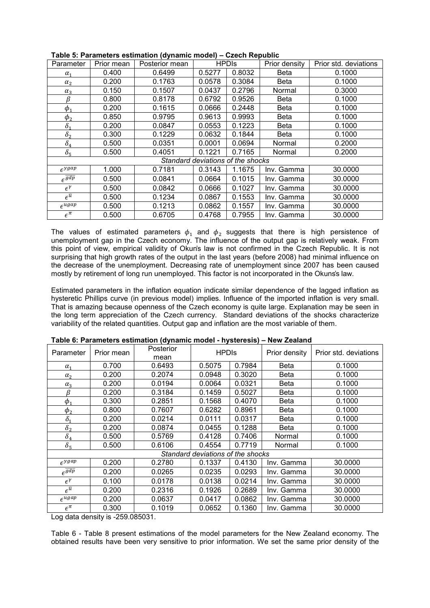| Parameter                   | Prior mean | Posterior mean |        | <b>HPDIS</b>                      | Prior density | Prior std. deviations |
|-----------------------------|------------|----------------|--------|-----------------------------------|---------------|-----------------------|
| $\alpha_1$                  | 0.400      | 0.6499         | 0.5277 | 0.8032                            | Beta          | 0.1000                |
| $\alpha_{2}$                | 0.200      | 0.1763         | 0.0578 | 0.3084                            | Beta          | 0.1000                |
| $\alpha_3$                  | 0.150      | 0.1507         | 0.0437 | 0.2796                            | Normal        | 0.3000                |
| β                           | 0.800      | 0.8178         | 0.6792 | 0.9526                            | Beta          | 0.1000                |
| $\phi_1$                    | 0.200      | 0.1615         | 0.0666 | 0.2448                            | Beta          | 0.1000                |
| $\phi_2$                    | 0.850      | 0.9795         | 0.9613 | 0.9993                            | Beta          | 0.1000                |
| $\delta_1$                  | 0.200      | 0.0847         | 0.0553 | 0.1223                            | Beta          | 0.1000                |
| $\delta_{2}$                | 0.300      | 0.1229         | 0.0632 | 0.1844                            | Beta          | 0.1000                |
| $\delta_4$                  | 0.500      | 0.0351         | 0.0001 | 0.0694                            | Normal        | 0.2000                |
| $\delta_5$                  | 0.500      | 0.4051         | 0.1221 | 0.7165                            | Normal        | 0.2000                |
|                             |            |                |        | Standard deviations of the shocks |               |                       |
| $\epsilon$ <sup>ygap</sup>  | 1.000      | 0.7181         | 0.3143 | 1.1675                            | Inv. Gamma    | 30.0000               |
| $\epsilon^{\overline{gdp}}$ | 0.500      | 0.0841         | 0.0664 | 0.1015                            | Inv. Gamma    | 30,0000               |
| $\epsilon^{\gamma}$         | 0.500      | 0.0842         | 0.0666 | 0.1027                            | Inv. Gamma    | 30,0000               |
| $\epsilon^{\bar{u}}$        | 0.500      | 0.1234         | 0.0867 | 0.1553                            | Inv. Gamma    | 30,0000               |
| $\epsilon^{ugap}$           | 0.500      | 0.1213         | 0.0862 | 0.1557                            | Inv. Gamma    | 30.0000               |
| $\epsilon^{\pi}$            | 0.500      | 0.6705         | 0.4768 | 0.7955                            | Inv. Gamma    | 30.0000               |

The values of estimated parameters  $\phi_1$  and  $\phi_2$  suggests that there is high persistence of unemployment gap in the Czech economy. The influence of the output gap is relatively weak. From this point of view, empirical validity of Okun's law is not confirmed in the Czech Republic. It is not surprising that high growth rates of the output in the last years (before 2008) had minimal influence on the decrease of the unemployment. Decreasing rate of unemployment since 2007 has been caused mostly by retirement of long run unemployed. This factor is not incorporated in the Okuns's law.

Estimated parameters in the inflation equation indicate similar dependence of the lagged inflation as hysteretic Phillips curve (in previous model) implies. Influence of the imported inflation is very small. That is amazing because openness of the Czech economy is quite large. Explanation may be seen in the long term appreciation of the Czech currency. Standard deviations of the shocks characterize variability of the related quantities. Output gap and inflation are the most variable of them.

| Parameter                   | Prior mean | Posterior<br>mean | <b>HPDIS</b>                      |        | Prior density | Prior std. deviations |
|-----------------------------|------------|-------------------|-----------------------------------|--------|---------------|-----------------------|
| $\alpha_1$                  | 0.700      | 0.6493            | 0.5075                            | 0.7984 | <b>Beta</b>   | 0.1000                |
| $\alpha_{2}$                | 0.200      | 0.2074            | 0.0948                            | 0.3020 | <b>Beta</b>   | 0.1000                |
| $\alpha_3$                  | 0.200      | 0.0194            | 0.0064                            | 0.0321 | <b>Beta</b>   | 0.1000                |
| ß                           | 0.200      | 0.3184            | 0.1459                            | 0.5027 | <b>Beta</b>   | 0.1000                |
| $\phi_1$                    | 0.300      | 0.2851            | 0.1568                            | 0.4070 | Beta          | 0.1000                |
| $\phi_2$                    | 0.800      | 0.7607            | 0.6282                            | 0.8961 | <b>Beta</b>   | 0.1000                |
| $\delta_1$                  | 0.200      | 0.0214            | 0.0111                            | 0.0317 | <b>Beta</b>   | 0.1000                |
| $\delta_2$                  | 0.200      | 0.0874            | 0.0455                            | 0.1288 | <b>Beta</b>   | 0.1000                |
| $\delta_4$                  | 0.500      | 0.5769            | 0.4128                            | 0.7406 | Normal        | 0.1000                |
| $\delta_5$                  | 0.500      | 0.6106            | 0.4554                            | 0.7719 | Normal        | 0.1000                |
|                             |            |                   | Standard deviations of the shocks |        |               |                       |
| $\epsilon^{ygap}$           | 0.200      | 0.2780            | 0.1337                            | 0.4130 | Inv. Gamma    | 30.0000               |
| $\epsilon^{\overline{gdp}}$ | 0.200      | 0.0265            | 0.0235                            | 0.0293 | Inv. Gamma    | 30,0000               |
| $\epsilon^{\gamma}$         | 0.100      | 0.0178            | 0.0138                            | 0.0214 | Inv. Gamma    | 30.0000               |
| $\epsilon^{\bar{u}}$        | 0.200      | 0.2316            | 0.1926                            | 0.2689 | Inv. Gamma    | 30.0000               |
| $\epsilon^{ugap}$           | 0.200      | 0.0637            | 0.0417                            | 0.0862 | Inv. Gamma    | 30.0000               |
| $\epsilon^{\pi}$            | 0.300      | 0.1019            | 0.0652                            | 0.1360 | Inv. Gamma    | 30.0000               |

### **Table 6: Parameters estimation (dynamic model - hysteresis) – New Zealand**

Log data density is -259.085031.

Table 6 - Table 8 present estimations of the model parameters for the New Zealand economy. The obtained results have been very sensitive to prior information. We set the same prior density of the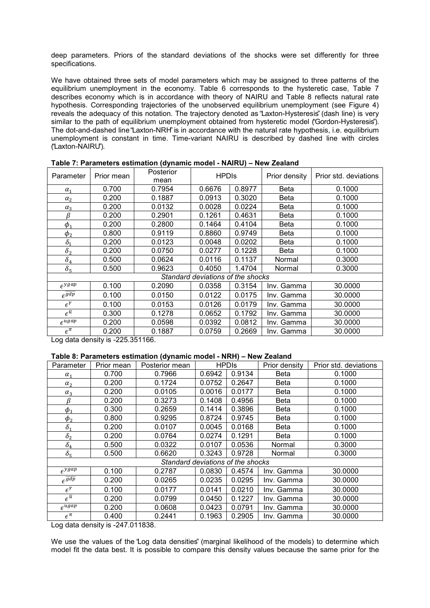deep parameters. Priors of the standard deviations of the shocks were set differently for three specifications.

We have obtained three sets of model parameters which may be assigned to three patterns of the equilibrium unemployment in the economy. Table 6 corresponds to the hysteretic case, Table 7 describes economy which is in accordance with theory of NAIRU and Table 8 reflects natural rate hypothesis. Corresponding trajectories of the unobserved equilibrium unemployment (see Figure 4) reveals the adequacy of this notation. The trajectory denoted as "Laxton-Hysteresis" (dash line) is very similar to the path of equilibrium unemployment obtained from hysteretic model ("Gordon-Hysteresis"). The dot-and-dashed line "Laxton-NRH" is in accordance with the natural rate hypothesis, i.e. equilibrium unemployment is constant in time. Time-variant NAIRU is described by dashed line with circles ("Laxton-NAIRU").

| Parameter                   | Prior mean | Posterior | <b>HPDIS</b>                      |        | Prior density | Prior std. deviations |
|-----------------------------|------------|-----------|-----------------------------------|--------|---------------|-----------------------|
|                             |            | mean      |                                   |        |               |                       |
| $\alpha_1$                  | 0.700      | 0.7954    | 0.6676                            | 0.8977 | <b>Beta</b>   | 0.1000                |
| $\alpha_{2}$                | 0.200      | 0.1887    | 0.0913                            | 0.3020 | <b>Beta</b>   | 0.1000                |
| $\alpha_3$                  | 0.200      | 0.0132    | 0.0028                            | 0.0224 | <b>Beta</b>   | 0.1000                |
| β                           | 0.200      | 0.2901    | 0.1261                            | 0.4631 | Beta          | 0.1000                |
| $\phi_1$                    | 0.200      | 0.2800    | 0.1464                            | 0.4104 | Beta          | 0.1000                |
| $\phi_2$                    | 0.800      | 0.9119    | 0.8860                            | 0.9749 | Beta          | 0.1000                |
| $\delta_1$                  | 0.200      | 0.0123    | 0.0048                            | 0.0202 | Beta          | 0.1000                |
| $\delta_2$                  | 0.200      | 0.0750    | 0.0277                            | 0.1228 | Beta          | 0.1000                |
| $\delta_4$                  | 0.500      | 0.0624    | 0.0116                            | 0.1137 | Normal        | 0.3000                |
| $\delta_5$                  | 0.500      | 0.9623    | 0.4050                            | 1.4704 | Normal        | 0.3000                |
|                             |            |           | Standard deviations of the shocks |        |               |                       |
| $\epsilon^{ygap}$           | 0.100      | 0.2090    | 0.0358                            | 0.3154 | Inv. Gamma    | 30.0000               |
| $\overline{\epsilon^{gdp}}$ | 0.100      | 0.0150    | 0.0122                            | 0.0175 | Inv. Gamma    | 30,0000               |
| $\epsilon^{\gamma}$         | 0.100      | 0.0153    | 0.0126                            | 0.0179 | Inv. Gamma    | 30.0000               |
| $\epsilon^{\bar{u}}$        | 0.300      | 0.1278    | 0.0652                            | 0.1792 | Inv. Gamma    | 30,0000               |
| $\epsilon^{ugap}$           | 0.200      | 0.0598    | 0.0392                            | 0.0812 | Inv. Gamma    | 30,0000               |
| $\epsilon^{\pi}$            | 0.200      | 0.1887    | 0.0759                            | 0.2669 | Inv. Gamma    | 30.0000               |

**Table 7: Parameters estimation (dynamic model - NAIRU) – New Zealand** 

Log data density is -225.351166.

## **Table 8: Parameters estimation (dynamic model - NRH) – New Zealand**

| Parameter                  | Prior mean | Posterior mean                    |        | <b>HPDIS</b> | Prior density | Prior std. deviations |
|----------------------------|------------|-----------------------------------|--------|--------------|---------------|-----------------------|
| $\alpha_1$                 | 0.700      | 0.7966                            | 0.6942 | 0.9134       | Beta          | 0.1000                |
| $\alpha_{2}$               | 0.200      | 0.1724                            | 0.0752 | 0.2647       | Beta          | 0.1000                |
| $\alpha_3$                 | 0.200      | 0.0105                            | 0.0016 | 0.0177       | Beta          | 0.1000                |
| β                          | 0.200      | 0.3273                            | 0.1408 | 0.4956       | Beta          | 0.1000                |
| $\phi_1$                   | 0.300      | 0.2659                            | 0.1414 | 0.3896       | <b>Beta</b>   | 0.1000                |
| $\phi_2$                   | 0.800      | 0.9295                            | 0.8724 | 0.9745       | <b>Beta</b>   | 0.1000                |
| $\delta_1$                 | 0.200      | 0.0107                            | 0.0045 | 0.0168       | Beta          | 0.1000                |
| $\delta_2$                 | 0.200      | 0.0764                            | 0.0274 | 0.1291       | Beta          | 0.1000                |
| $\delta_4$                 | 0.500      | 0.0322                            | 0.0107 | 0.0536       | Normal        | 0.3000                |
| $\delta_{5}$               | 0.500      | 0.6620                            | 0.3243 | 0.9728       | Normal        | 0.3000                |
|                            |            | Standard deviations of the shocks |        |              |               |                       |
| $\epsilon$ <sup>ygap</sup> | 0.100      | 0.2787                            | 0.0830 | 0.4574       | Inv. Gamma    | 30.0000               |
| $\sqrt{\frac{gdp}{}}$      | 0.200      | 0.0265                            | 0.0235 | 0.0295       | Inv. Gamma    | 30,0000               |
| $\epsilon^{\gamma}$        | 0.100      | 0.0177                            | 0.0141 | 0.0210       | Inv. Gamma    | 30.0000               |
| $\epsilon^{\bar{u}}$       | 0.200      | 0.0799                            | 0.0450 | 0.1227       | Inv. Gamma    | 30.0000               |
| $\epsilon^{ugap}$          | 0.200      | 0.0608                            | 0.0423 | 0.0791       | Inv. Gamma    | 30.0000               |
| $\epsilon^{\pi}$           | 0.400      | 0.2441                            | 0.1963 | 0.2905       | Inv. Gamma    | 30,0000               |

Log data density is -247.011838.

We use the values of the "Log data densities" (marginal likelihood of the models) to determine which model fit the data best. It is possible to compare this density values because the same prior for the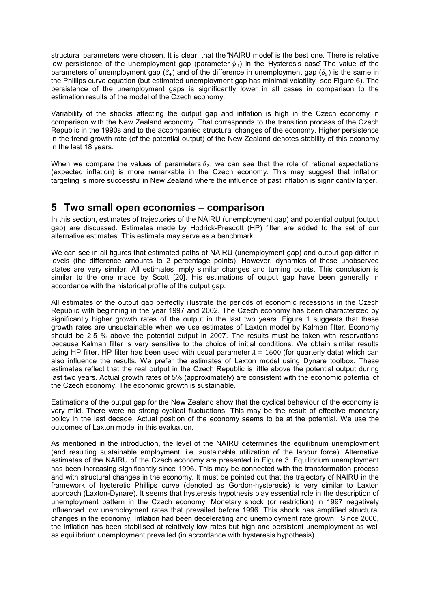structural parameters were chosen. It is clear, that the "NAIRU model" is the best one. There is relative low persistence of the unemployment gap (parameter  $\phi_2$ ) in the "Hysteresis case" The value of the parameters of unemployment gap  $(\delta_4)$  and of the difference in unemployment gap  $(\delta_5)$  is the same in the Phillips curve equation (but estimated unemployment gap has minimal volatility–see Figure 6). The persistence of the unemployment gaps is significantly lower in all cases in comparison to the estimation results of the model of the Czech economy.

Variability of the shocks affecting the output gap and inflation is high in the Czech economy in comparison with the New Zealand economy. That corresponds to the transition process of the Czech Republic in the 1990s and to the accompanied structural changes of the economy. Higher persistence in the trend growth rate (of the potential output) of the New Zealand denotes stability of this economy in the last 18 years.

When we compare the values of parameters  $\delta_2$ , we can see that the role of rational expectations (expected inflation) is more remarkable in the Czech economy. This may suggest that inflation targeting is more successful in New Zealand where the influence of past inflation is significantly larger.

## **5 Two small open economies – comparison**

In this section, estimates of trajectories of the NAIRU (unemployment gap) and potential output (output gap) are discussed. Estimates made by Hodrick-Prescott (HP) filter are added to the set of our alternative estimates. This estimate may serve as a benchmark.

We can see in all figures that estimated paths of NAIRU (unemployment gap) and output gap differ in levels (the difference amounts to 2 percentage points). However, dynamics of these unobserved states are very similar. All estimates imply similar changes and turning points. This conclusion is similar to the one made by Scott [20]. His estimations of output gap have been generally in accordance with the historical profile of the output gap.

All estimates of the output gap perfectly illustrate the periods of economic recessions in the Czech Republic with beginning in the year 1997 and 2002. The Czech economy has been characterized by significantly higher growth rates of the output in the last two years. Figure 1 suggests that these growth rates are unsustainable when we use estimates of Laxton model by Kalman filter. Economy should be 2.5 % above the potential output in 2007. The results must be taken with reservations because Kalman filter is very sensitive to the choice of initial conditions. We obtain similar results using HP filter. HP filter has been used with usual parameter  $\lambda = 1600$  (for quarterly data) which can also influence the results. We prefer the estimates of Laxton model using Dynare toolbox. These estimates reflect that the real output in the Czech Republic is little above the potential output during last two years. Actual growth rates of 5% (approximately) are consistent with the economic potential of the Czech economy. The economic growth is sustainable.

Estimations of the output gap for the New Zealand show that the cyclical behaviour of the economy is very mild. There were no strong cyclical fluctuations. This may be the result of effective monetary policy in the last decade. Actual position of the economy seems to be at the potential. We use the outcomes of Laxton model in this evaluation.

As mentioned in the introduction, the level of the NAIRU determines the equilibrium unemployment (and resulting sustainable employment, i.e. sustainable utilization of the labour force). Alternative estimates of the NAIRU of the Czech economy are presented in Figure 3. Equilibrium unemployment has been increasing significantly since 1996. This may be connected with the transformation process and with structural changes in the economy. It must be pointed out that the trajectory of NAIRU in the framework of hysteretic Phillips curve (denoted as Gordon-hysteresis) is very similar to Laxton approach (Laxton-Dynare). It seems that hysteresis hypothesis play essential role in the description of unemployment pattern in the Czech economy. Monetary shock (or restriction) in 1997 negatively influenced low unemployment rates that prevailed before 1996. This shock has amplified structural changes in the economy. Inflation had been decelerating and unemployment rate grown. Since 2000, the inflation has been stabilised at relatively low rates but high and persistent unemployment as well as equilibrium unemployment prevailed (in accordance with hysteresis hypothesis).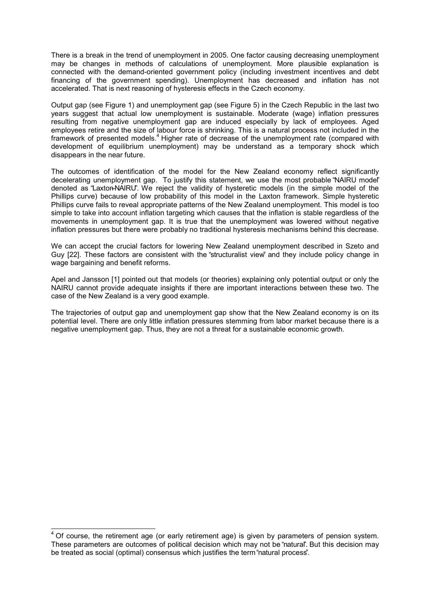There is a break in the trend of unemployment in 2005. One factor causing decreasing unemployment may be changes in methods of calculations of unemployment. More plausible explanation is connected with the demand-oriented government policy (including investment incentives and debt financing of the government spending). Unemployment has decreased and inflation has not accelerated. That is next reasoning of hysteresis effects in the Czech economy.

Output gap (see Figure 1) and unemployment gap (see Figure 5) in the Czech Republic in the last two years suggest that actual low unemployment is sustainable. Moderate (wage) inflation pressures resulting from negative unemployment gap are induced especially by lack of employees. Aged employees retire and the size of labour force is shrinking. This is a natural process not included in the framework of presented models.<sup>4</sup> Higher rate of decrease of the unemployment rate (compared with development of equilibrium unemployment) may be understand as a temporary shock which disappears in the near future.

The outcomes of identification of the model for the New Zealand economy reflect significantly decelerating unemployment gap. To justify this statement, we use the most probable "NAIRU model" denoted as "Laxton–NAIRU". We reject the validity of hysteretic models (in the simple model of the Phillips curve) because of low probability of this model in the Laxton framework. Simple hysteretic Phillips curve fails to reveal appropriate patterns of the New Zealand unemployment. This model is too simple to take into account inflation targeting which causes that the inflation is stable regardless of the movements in unemployment gap. It is true that the unemployment was lowered without negative inflation pressures but there were probably no traditional hysteresis mechanisms behind this decrease.

We can accept the crucial factors for lowering New Zealand unemployment described in Szeto and Guy [22]. These factors are consistent with the "structuralist view" and they include policy change in wage bargaining and benefit reforms.

Apel and Jansson [1] pointed out that models (or theories) explaining only potential output or only the NAIRU cannot provide adequate insights if there are important interactions between these two. The case of the New Zealand is a very good example.

The trajectories of output gap and unemployment gap show that the New Zealand economy is on its potential level. There are only little inflation pressures stemming from labor market because there is a negative unemployment gap. Thus, they are not a threat for a sustainable economic growth.

 $\overline{a}$ 

 $4$  Of course, the retirement age (or early retirement age) is given by parameters of pension system. These parameters are outcomes of political decision which may not be "natural". But this decision may be treated as social (optimal) consensus which justifies the term "natural process".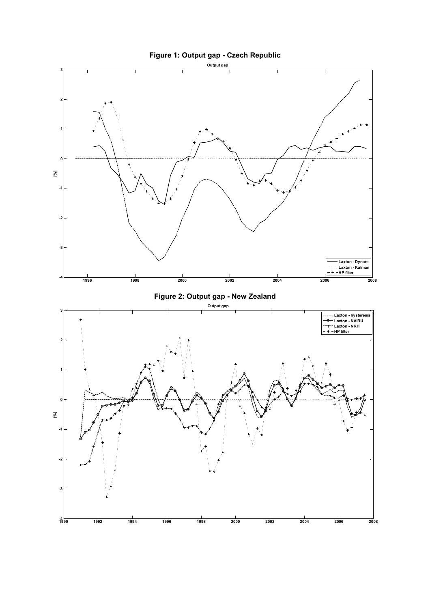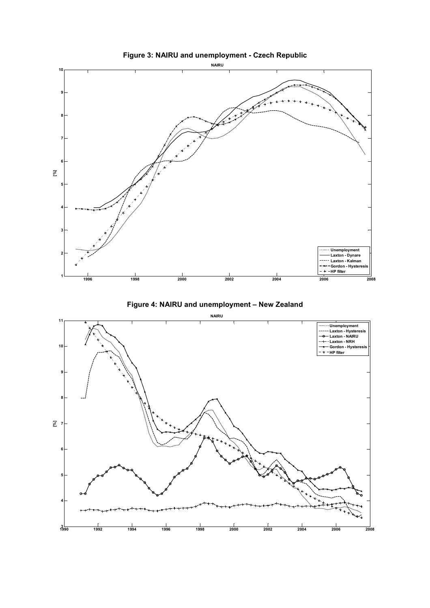

**Figure 4: NAIRU and unemployment – New Zealand** 



**Figure 3: NAIRU and unemployment - Czech Republic**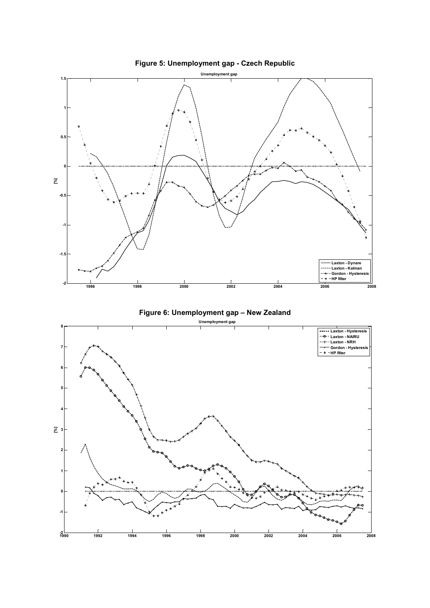

**Figure 5: Unemployment gap - Czech Republic**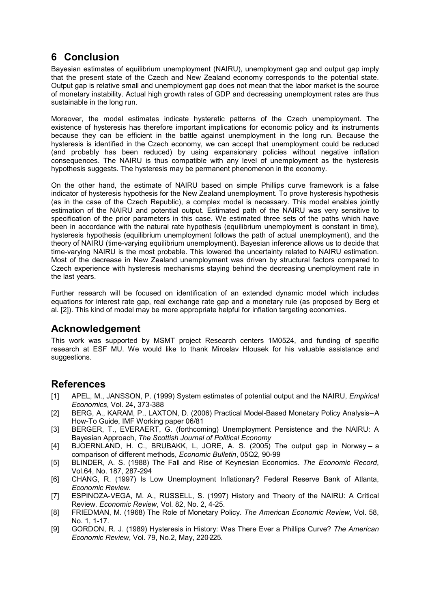# **6 Conclusion**

Bayesian estimates of equilibrium unemployment (NAIRU), unemployment gap and output gap imply that the present state of the Czech and New Zealand economy corresponds to the potential state. Output gap is relative small and unemployment gap does not mean that the labor market is the source of monetary instability. Actual high growth rates of GDP and decreasing unemployment rates are thus sustainable in the long run.

Moreover, the model estimates indicate hysteretic patterns of the Czech unemployment. The existence of hysteresis has therefore important implications for economic policy and its instruments because they can be efficient in the battle against unemployment in the long run. Because the hysteresis is identified in the Czech economy, we can accept that unemployment could be reduced (and probably has been reduced) by using expansionary policies without negative inflation consequences. The NAIRU is thus compatible with any level of unemployment as the hysteresis hypothesis suggests. The hysteresis may be permanent phenomenon in the economy.

On the other hand, the estimate of NAIRU based on simple Phillips curve framework is a false indicator of hysteresis hypothesis for the New Zealand unemployment. To prove hysteresis hypothesis (as in the case of the Czech Republic), a complex model is necessary. This model enables jointly estimation of the NAIRU and potential output. Estimated path of the NAIRU was very sensitive to specification of the prior parameters in this case. We estimated three sets of the paths which have been in accordance with the natural rate hypothesis (equilibrium unemployment is constant in time), hysteresis hypothesis (equilibrium unemployment follows the path of actual unemployment), and the theory of NAIRU (time-varying equilibrium unemployment). Bayesian inference allows us to decide that time-varying NAIRU is the most probable. This lowered the uncertainty related to NAIRU estimation. Most of the decrease in New Zealand unemployment was driven by structural factors compared to Czech experience with hysteresis mechanisms staying behind the decreasing unemployment rate in the last years.

Further research will be focused on identification of an extended dynamic model which includes equations for interest rate gap, real exchange rate gap and a monetary rule (as proposed by Berg et al. [2]). This kind of model may be more appropriate helpful for inflation targeting economies.

## **Acknowledgement**

This work was supported by MSMT project Research centers 1M0524, and funding of specific research at ESF MU. We would like to thank Miroslav Hlousek for his valuable assistance and suggestions.

## **References**

- [1] APEL, M., JANSSON, P. (1999) System estimates of potential output and the NAIRU, *Empirical Economics*, Vol. 24, 373-388
- [2] BERG, A., KARAM, P., LAXTON, D. (2006) Practical Model-Based Monetary Policy Analysis-A How-To Guide, IMF Working paper 06/81
- [3] BERGER, T., EVERAERT, G. (forthcoming) Unemployment Persistence and the NAIRU: A Bayesian Approach, *The Scottish Journal of Political Economy*
- [4] BJOERNLAND, H. C., BRUBAKK, L, JORE, A. S. (2005) The output gap in Norway a comparison of different methods, *Economic Bulletin*, 05Q2, 90-99
- [5] BLINDER, A. S. (1988) The Fall and Rise of Keynesian Economics. *The Economic Record*, Vol.64, No. 187, 287-294
- [6] CHANG, R. (1997) Is Low Unemployment Inflationary? Federal Reserve Bank of Atlanta, *Economic Review.*
- [7] ESPINOZA-VEGA, M. A., RUSSELL, S. (1997) History and Theory of the NAIRU: A Critical Review. *Economic Review*, Vol. 82, No. 2, 4-25.
- [8] FRIEDMAN, M. (1968) The Role of Monetary Policy. *The American Economic Review*, Vol. 58, No. 1, 1-17.
- [9] GORDON, R. J. (1989) Hysteresis in History: Was There Ever a Phillips Curve? *The American Economic Review*, Vol. 79, No.2, May, 220–225.